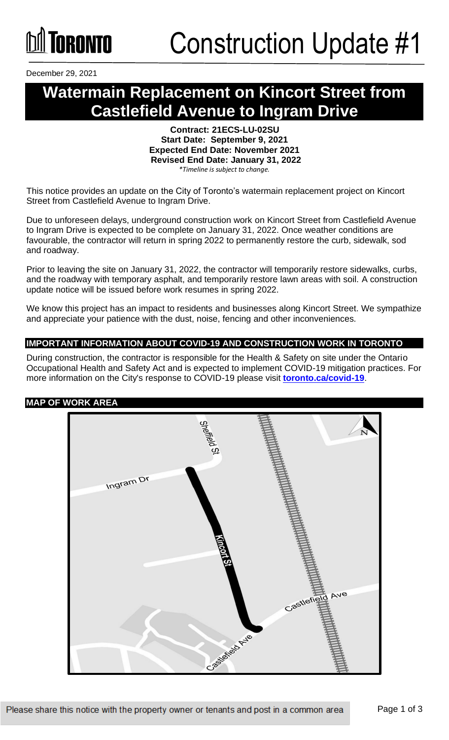

December 29, 2021

### **Watermain Replacement on Kincort Street from Castlefield Avenue to Ingram Drive**

**Contract: 21ECS-LU-02SU Start Date: September 9, 2021 Expected End Date: November 2021 Revised End Date: January 31, 2022** *\*Timeline is subject to change.*

This notice provides an update on the City of Toronto's watermain replacement project on Kincort Street from Castlefield Avenue to Ingram Drive.

Due to unforeseen delays, underground construction work on Kincort Street from Castlefield Avenue to Ingram Drive is expected to be complete on January 31, 2022. Once weather conditions are favourable, the contractor will return in spring 2022 to permanently restore the curb, sidewalk, sod and roadway.

Prior to leaving the site on January 31, 2022, the contractor will temporarily restore sidewalks, curbs, and the roadway with temporary asphalt, and temporarily restore lawn areas with soil. A construction update notice will be issued before work resumes in spring 2022.

We know this project has an impact to residents and businesses along Kincort Street. We sympathize and appreciate your patience with the dust, noise, fencing and other inconveniences.

#### **IMPORTANT INFORMATION ABOUT COVID-19 AND CONSTRUCTION WORK IN TORONTO**

During construction, the contractor is responsible for the Health & Safety on site under the Ontario Occupational Health and Safety Act and is expected to implement COVID-19 mitigation practices. For more information on the City's response to COVID-19 please visit **[toronto.ca/covid-19](http://www.toronto.ca/covid-19)**.

#### **MAP OF WORK AREA**

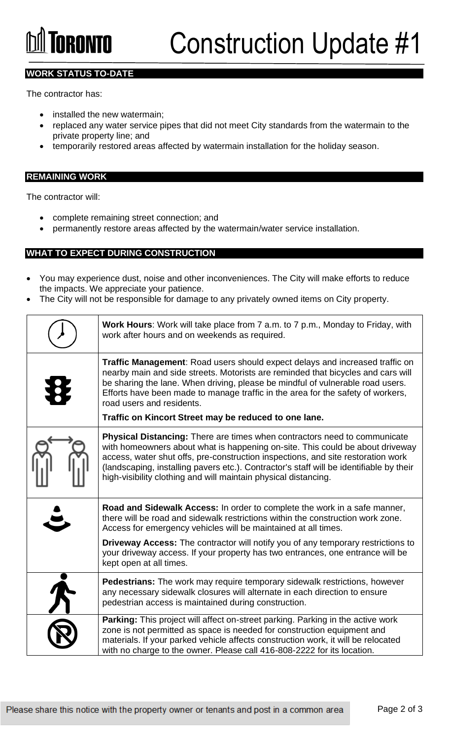# **GRANTA**

#### **WORK STATUS TO-DATE**

The contractor has:

- installed the new watermain;
- replaced any water service pipes that did not meet City standards from the watermain to the private property line; and
- temporarily restored areas affected by watermain installation for the holiday season.

#### **REMAINING WORK**

The contractor will:

- complete remaining street connection; and
- permanently restore areas affected by the watermain/water service installation.

#### **WHAT TO EXPECT DURING CONSTRUCTION**

- You may experience dust, noise and other inconveniences. The City will make efforts to reduce the impacts. We appreciate your patience.
- The City will not be responsible for damage to any privately owned items on City property.

| Work Hours: Work will take place from 7 a.m. to 7 p.m., Monday to Friday, with<br>work after hours and on weekends as required.                                                                                                                                                                                                                                                                                             |
|-----------------------------------------------------------------------------------------------------------------------------------------------------------------------------------------------------------------------------------------------------------------------------------------------------------------------------------------------------------------------------------------------------------------------------|
| Traffic Management: Road users should expect delays and increased traffic on<br>nearby main and side streets. Motorists are reminded that bicycles and cars will<br>be sharing the lane. When driving, please be mindful of vulnerable road users.<br>Efforts have been made to manage traffic in the area for the safety of workers,<br>road users and residents.<br>Traffic on Kincort Street may be reduced to one lane. |
| <b>Physical Distancing:</b> There are times when contractors need to communicate<br>with homeowners about what is happening on-site. This could be about driveway<br>access, water shut offs, pre-construction inspections, and site restoration work<br>(landscaping, installing pavers etc.). Contractor's staff will be identifiable by their<br>high-visibility clothing and will maintain physical distancing.         |
| Road and Sidewalk Access: In order to complete the work in a safe manner,<br>there will be road and sidewalk restrictions within the construction work zone.<br>Access for emergency vehicles will be maintained at all times.                                                                                                                                                                                              |
| <b>Driveway Access:</b> The contractor will notify you of any temporary restrictions to<br>your driveway access. If your property has two entrances, one entrance will be<br>kept open at all times.                                                                                                                                                                                                                        |
| <b>Pedestrians:</b> The work may require temporary sidewalk restrictions, however<br>any necessary sidewalk closures will alternate in each direction to ensure<br>pedestrian access is maintained during construction.                                                                                                                                                                                                     |
| Parking: This project will affect on-street parking. Parking in the active work<br>zone is not permitted as space is needed for construction equipment and<br>materials. If your parked vehicle affects construction work, it will be relocated<br>with no charge to the owner. Please call 416-808-2222 for its location.                                                                                                  |
|                                                                                                                                                                                                                                                                                                                                                                                                                             |